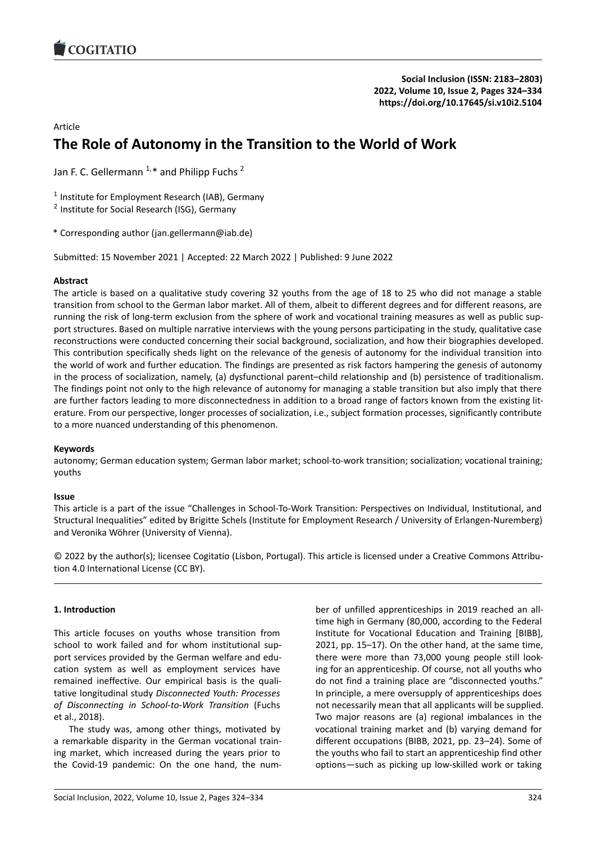

# Article

# **The Role of Autonomy in the Transition to the W[orld of Work](https://doi.org/10.17645/si.v10i2.5104)**

Jan F. C. Gellermann  $1, *$  and Philipp Fuchs  $2$ 

<sup>1</sup> Institute for Employment Research (IAB), Germany

<sup>2</sup> Institute for Social Research (ISG), Germany

\* Corresponding author (jan.gellermann@iab.de)

Submitted: 15 November 2021 | Accepted: 22 March 2022 | Published: 9 June 2022

# **Abstract**

The article is based on a qualitative study covering 32 youths from the age of 18 to 25 who did not manage a stable transition from school to the German labor market. All of them, albeit to different degrees and for different reasons, are running the risk of long‐term exclusion from the sphere of work and vocational training measures as well as public sup‐ port structures. Based on multiple narrative interviews with the young persons participating in the study, qualitative case reconstructions were conducted concerning their social background, socialization, and how their biographies developed. This contribution specifically sheds light on the relevance of the genesis of autonomy for the individual transition into the world of work and further education. The findings are presented as risk factors hampering the genesis of autonomy in the process of socialization, namely, (a) dysfunctional parent–child relationship and (b) persistence of traditionalism. The findings point not only to the high relevance of autonomy for managing a stable transition but also imply that there are further factors leading to more disconnectedness in addition to a broad range of factors known from the existing literature. From our perspective, longer processes of socialization, i.e., subject formation processes, significantly contribute to a more nuanced understanding of this phenomenon.

# **Keywords**

autonomy; German education system; German labor market; school-to-work transition; socialization; vocational training; youths

# **Issue**

This article is a part of the issue "Challenges in School‐To‐Work Transition: Perspectives on Individual, Institutional, and Structural Inequalities" edited by Brigitte Schels (Institute for Employment Research / University of Erlangen‐Nuremberg) and Veronika Wöhrer (University of Vienna).

© 2022 by the author(s); licensee Cogitatio (Lisbon, Portugal). This article is licensed under a Creative Commons Attribu‐ tion 4.0 International License (CC BY).

# **1. Introduction**

This article focuses on youths whose transition from school to work failed and for whom institutional sup‐ port services provided by the German welfare and edu‐ cation system as well as employment services have remained ineffective. Our empirical basis is the quali‐ tative longitudinal study *Disconnected Youth: Processes of Disconnecting in School‐to‐Work Transition* (Fuchs et al., 2018).

The study was, among other things, motivated by a remarkable disparity in the German vocational train‐ ing market, which increased during the years prior to the Covid‐19 pandemic: On the one hand, the num‐ ber of unfilled apprenticeships in 2019 reached an all‐ time high in Germany (80,000, according to the Federal Institute for Vocational Education and Training [BIBB], 2021, pp. 15–17). On the other hand, at the same time, there were more than 73,000 young people still look‐ ing for an apprenticeship. Of course, not all youths who do not find a training place are "disconnected youths." In principle, a mere oversupply of apprenticeships does not necessarily mean that all applicants will be supplied. Two major reasons are (a) regional imbalances in the vocational training market and (b) varying demand for different occupations (BIBB, 2021, pp. 23–24). Some of the youths who fail to start an apprenticeship find other options—such as picking up low‐skilled work or taking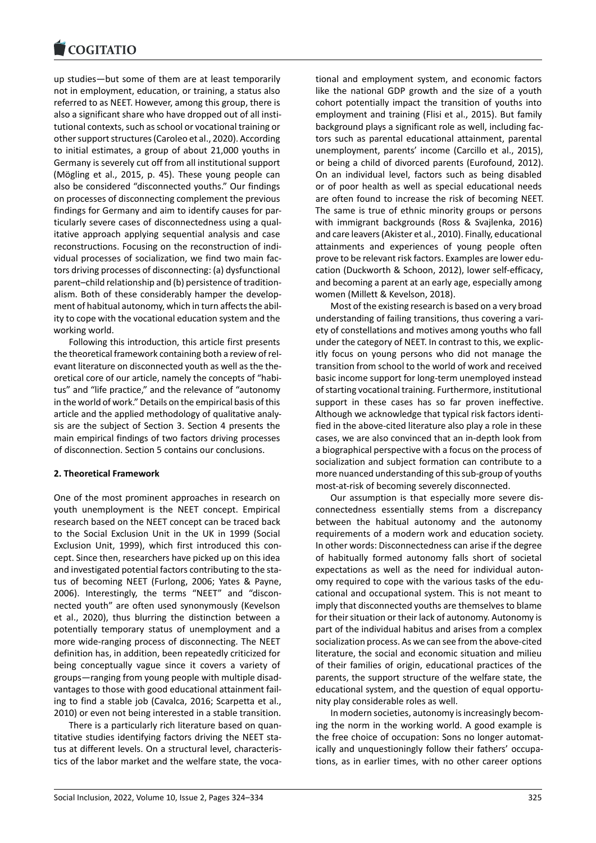up studies—but some of them are at least temporarily [not in employment,](https://www.cogitatiopress.com) education, or training, a status also referred to as NEET. However, among this group, there is also a significant share who have dropped out of all insti‐ tutional contexts, such as school or vocational training or other support structures (Caroleo et al., 2020). According to initial estimates, a group of about 21,000 youths in Germany is severely cut off from all institutional support (Mögling et al., 2015, p. 45). These young people can also be considered "disconnected youths." Our findings on processes of disconnecting complement the previous findings for Germany and aim to identify causes for par‐ ticularly severe cases of disconnectedness using a qual‐ itative approach applying sequential analysis and case reconstructions. Focusing on the reconstruction of indi‐ vidual processes of socialization, we find two main fac‐ tors driving processes of disconnecting: (a) dysfunctional parent–child relationship and (b) persistence of tradition‐ alism. Both of these considerably hamper the develop‐ ment of habitual autonomy, which in turn affects the abil‐ ity to cope with the vocational education system and the working world.

Following this introduction, this article first presents the theoretical framework containing both a review of rel‐ evant literature on disconnected youth as well as the the‐ oretical core of our article, namely the concepts of "habi‐ tus" and "life practice," and the relevance of "autonomy in the world of work." Details on the empirical basis of this article and the applied methodology of qualitative analy‐ sis are the subject of Section 3. Section 4 presents the main empirical findings of two factors driving processes of disconnection. Section 5 contains our conclusions.

### **2. Theoretical Framework**

One of the most prominent approaches in research on youth unemployment is the NEET concept. Empirical research based on the NEET concept can be traced back to the Social Exclusion Unit in the UK in 1999 (Social Exclusion Unit, 1999), which first introduced this con‐ cept. Since then, researchers have picked up on this idea and investigated potential factors contributing to the status of becoming NEET (Furlong, 2006; Yates & Payne, 2006). Interestingly, the terms "NEET" and "discon‐ nected youth" are often used synonymously (Kevelson et al., 2020), thus blurring the distinction between a potentially temporary status of unemployment and a more wide‐ranging process of disconnecting. The NEET definition has, in addition, been repeatedly criticized for being conceptually vague since it covers a variety of groups—ranging from young people with multiple disad‐ vantages to those with good educational attainment fail‐ ing to find a stable job (Cavalca, 2016; Scarpetta et al., 2010) or even not being interested in a stable transition.

There is a particularly rich literature based on quan‐ titative studies identifying factors driving the NEET sta‐ tus at different levels. On a structural level, characteris‐ tics of the labor market and the welfare state, the voca‐ tional and employment system, and economic factors like the national GDP growth and the size of a youth cohort potentially impact the transition of youths into employment and training (Flisi et al., 2015). But family background plays a significant role as well, including fac‐ tors such as parental educational attainment, parental unemployment, parents' income (Carcillo et al., 2015), or being a child of divorced parents (Eurofound, 2012). On an individual level, factors such as being disabled or of poor health as well as special educational needs are often found to increase the risk of becoming NEET. The same is true of ethnic minority groups or persons with immigrant backgrounds (Ross & Svajlenka, 2016) and care leavers (Akister et al., 2010). Finally, educational attainments and experiences of young people often prove to be relevant risk factors. Examples are lower edu‐ cation (Duckworth & Schoon, 2012), lower self‐efficacy, and becoming a parent at an early age, especially among women (Millett & Kevelson, 2018).

Most of the existing research is based on a very broad understanding of failing transitions, thus covering a vari‐ ety of constellations and motives among youths who fall under the category of NEET. In contrast to this, we explic‐ itly focus on young persons who did not manage the transition from school to the world of work and received basic income support for long‐term unemployed instead of starting vocational training. Furthermore, institutional support in these cases has so far proven ineffective. Although we acknowledge that typical risk factors identi‐ fied in the above‐cited literature also play a role in these cases, we are also convinced that an in‐depth look from a biographical perspective with a focus on the process of socialization and subject formation can contribute to a more nuanced understanding of this sub‐group of youths most‐at‐risk of becoming severely disconnected.

Our assumption is that especially more severe dis‐ connectedness essentially stems from a discrepancy between the habitual autonomy and the autonomy requirements of a modern work and education society. In other words: Disconnectedness can arise if the degree of habitually formed autonomy falls short of societal expectations as well as the need for individual autonomy required to cope with the various tasks of the edu‐ cational and occupational system. This is not meant to imply that disconnected youths are themselves to blame for their situation or their lack of autonomy. Autonomy is part of the individual habitus and arises from a complex socialization process. As we can see from the above‐cited literature, the social and economic situation and milieu of their families of origin, educational practices of the parents, the support structure of the welfare state, the educational system, and the question of equal opportu‐ nity play considerable roles as well.

In modern societies, autonomy is increasingly becom‐ ing the norm in the working world. A good example is the free choice of occupation: Sons no longer automatically and unquestioningly follow their fathers' occupa‐ tions, as in earlier times, with no other career options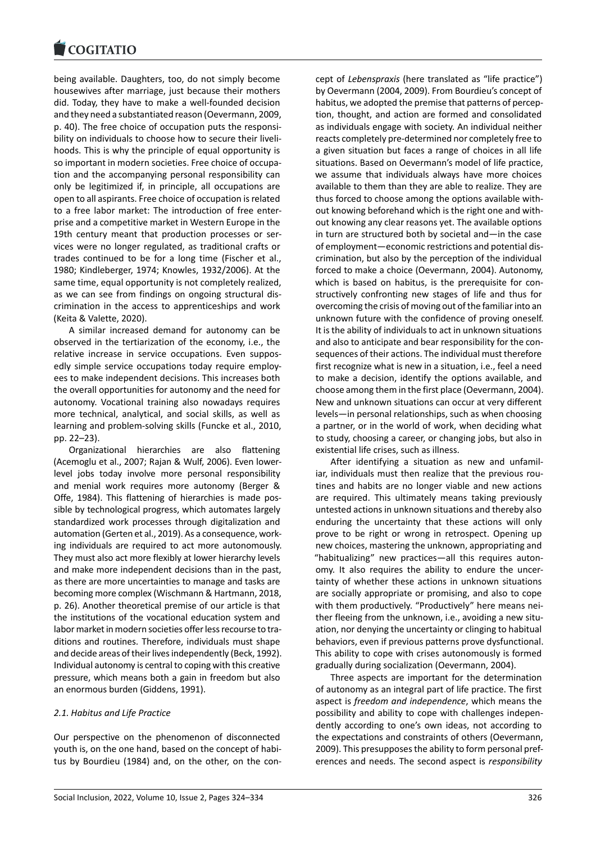#### **LOGITATIO**

being available. Daughters, too, do not simply become [housewives after ma](https://www.cogitatiopress.com)rriage, just because their mothers did. Today, they have to make a well‐founded decision and they need a substantiated reason (Oevermann, 2009, p. 40). The free choice of occupation puts the responsi‐ bility on individuals to choose how to secure their liveli‐ hoods. This is why the principle of equal opportunity is so important in modern societies. Free choice of occupa‐ tion and the accompanying personal responsibility can only be legitimized if, in principle, all occupations are open to all aspirants. Free choice of occupation is related to a free labor market: The introduction of free enter‐ prise and a competitive market in Western Europe in the 19th century meant that production processes or ser‐ vices were no longer regulated, as traditional crafts or trades continued to be for a long time (Fischer et al., 1980; Kindleberger, 1974; Knowles, 1932/2006). At the same time, equal opportunity is not completely realized, as we can see from findings on ongoing structural dis‐ crimination in the access to apprenticeships and work (Keita & Valette, 2020).

A similar increased demand for autonomy can be observed in the tertiarization of the economy, i.e., the relative increase in service occupations. Even suppos‐ edly simple service occupations today require employ‐ ees to make independent decisions. This increases both the overall opportunities for autonomy and the need for autonomy. Vocational training also nowadays requires more technical, analytical, and social skills, as well as learning and problem‐solving skills (Funcke et al., 2010, pp. 22–23).

Organizational hierarchies are also flattening (Acemoglu et al., 2007; Rajan & Wulf, 2006). Even lower‐ level jobs today involve more personal responsibility and menial work requires more autonomy (Berger & Offe, 1984). This flattening of hierarchies is made pos‐ sible by technological progress, which automates largely standardized work processes through digitalization and automation (Gerten et al., 2019). As a consequence, work‐ ing individuals are required to act more autonomously. They must also act more flexibly at lower hierarchy levels and make more independent decisions than in the past, as there are more uncertainties to manage and tasks are becoming more complex (Wischmann & Hartmann, 2018, p. 26). Another theoretical premise of our article is that the institutions of the vocational education system and labor market in modern societies offer less recourse to traditions and routines. Therefore, individuals must shape and decide areas of their lives independently (Beck, 1992). Individual autonomy is central to coping with this creative pressure, which means both a gain in freedom but also an enormous burden (Giddens, 1991).

# *2.1. Habitus and Life Practice*

Our perspective on the phenomenon of disconnected youth is, on the one hand, based on the concept of habi‐ tus by Bourdieu (1984) and, on the other, on the con‐ cept of *Lebenspraxis* (here translated as "life practice") by Oevermann (2004, 2009). From Bourdieu's concept of habitus, we adopted the premise that patterns of percep‐ tion, thought, and action are formed and consolidated as individuals engage with society. An individual neither reacts completely pre‐determined nor completely free to a given situation but faces a range of choices in all life situations. Based on Oevermann's model of life practice, we assume that individuals always have more choices available to them than they are able to realize. They are thus forced to choose among the options available with‐ out knowing beforehand which is the right one and with‐ out knowing any clear reasons yet. The available options in turn are structured both by societal and—in the case of employment—economic restrictions and potential dis‐ crimination, but also by the perception of the individual forced to make a choice (Oevermann, 2004). Autonomy, which is based on habitus, is the prerequisite for constructively confronting new stages of life and thus for overcoming the crisis of moving out of the familiar into an unknown future with the confidence of proving oneself. It is the ability of individuals to act in unknown situations and also to anticipate and bear responsibility for the con‐ sequences of their actions. The individual must therefore first recognize what is new in a situation, i.e., feel a need to make a decision, identify the options available, and choose among them in the first place (Oevermann, 2004). New and unknown situations can occur at very different levels—in personal relationships, such as when choosing a partner, or in the world of work, when deciding what to study, choosing a career, or changing jobs, but also in existential life crises, such as illness.

After identifying a situation as new and unfamil‐ iar, individuals must then realize that the previous routines and habits are no longer viable and new actions are required. This ultimately means taking previously untested actions in unknown situations and thereby also enduring the uncertainty that these actions will only prove to be right or wrong in retrospect. Opening up new choices, mastering the unknown, appropriating and "habitualizing" new practices—all this requires auton‐ omy. It also requires the ability to endure the uncer‐ tainty of whether these actions in unknown situations are socially appropriate or promising, and also to cope with them productively. "Productively" here means nei‐ ther fleeing from the unknown, i.e., avoiding a new situation, nor denying the uncertainty or clinging to habitual behaviors, even if previous patterns prove dysfunctional. This ability to cope with crises autonomously is formed gradually during socialization (Oevermann, 2004).

Three aspects are important for the determination of autonomy as an integral part of life practice. The first aspect is *freedom and independence*, which means the possibility and ability to cope with challenges indepen‐ dently according to one's own ideas, not according to the expectations and constraints of others (Oevermann, 2009). This presupposes the ability to form personal pref‐ erences and needs. The second aspect is *responsibility*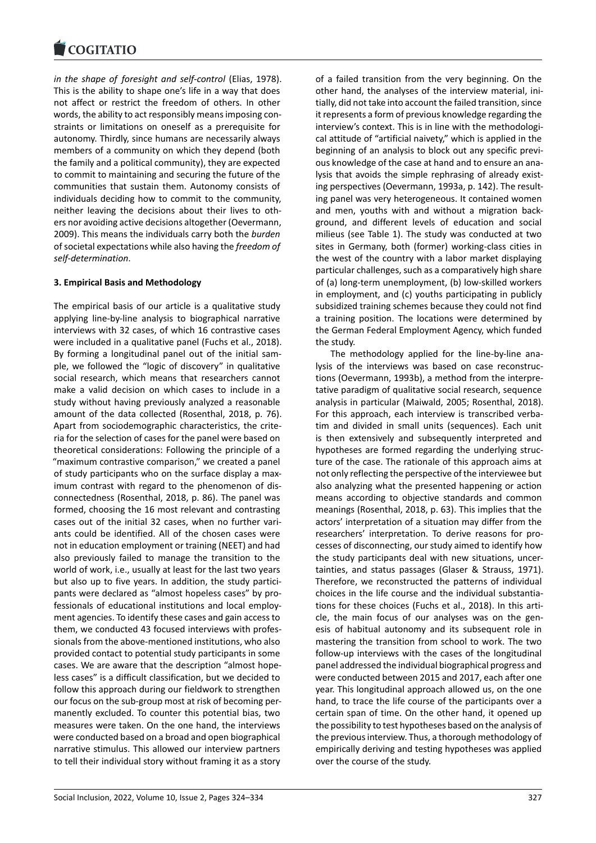*in the shape of foresight and self‐control* (Elias, 1978). [This is the ability to](https://www.cogitatiopress.com) shape one's life in a way that does not affect or restrict the freedom of others. In other words, the ability to act responsibly means imposing con‐ straints or limitations on oneself as a prerequisite for autonomy. Thirdly, since humans are necessarily always members of a community on which they depend (both the family and a political community), they are expected to commit to maintaining and securing the future of the communities that sustain them. Autonomy consists of individuals deciding how to commit to the community, neither leaving the decisions about their lives to oth‐ ers nor avoiding active decisions altogether (Oevermann, 2009). This means the individuals carry both the *burden* of societal expectations while also having the *freedom of self‐determination*.

# **3. Empirical Basis and Methodology**

The empirical basis of our article is a qualitative study applying line‐by‐line analysis to biographical narrative interviews with 32 cases, of which 16 contrastive cases were included in a qualitative panel (Fuchs et al., 2018). By forming a longitudinal panel out of the initial sam‐ ple, we followed the "logic of discovery" in qualitative social research, which means that researchers cannot make a valid decision on which cases to include in a study without having previously analyzed a reasonable amount of the data collected (Rosenthal, 2018, p. 76). Apart from sociodemographic characteristics, the crite‐ ria for the selection of cases for the panel were based on theoretical considerations: Following the principle of a "maximum contrastive comparison," we created a panel of study participants who on the surface display a max‐ imum contrast with regard to the phenomenon of dis‐ connectedness (Rosenthal, 2018, p. 86). The panel was formed, choosing the 16 most relevant and contrasting cases out of the initial 32 cases, when no further vari‐ ants could be identified. All of the chosen cases were not in education employment or training (NEET) and had also previously failed to manage the transition to the world of work, i.e., usually at least for the last two years but also up to five years. In addition, the study partici‐ pants were declared as "almost hopeless cases" by pro‐ fessionals of educational institutions and local employ‐ ment agencies. To identify these cases and gain access to them, we conducted 43 focused interviews with profes‐ sionals from the above‐mentioned institutions, who also provided contact to potential study participants in some cases. We are aware that the description "almost hope‐ less cases" is a difficult classification, but we decided to follow this approach during our fieldwork to strengthen our focus on the sub‐group most at risk of becoming per‐ manently excluded. To counter this potential bias, two measures were taken. On the one hand, the interviews were conducted based on a broad and open biographical narrative stimulus. This allowed our interview partners to tell their individual story without framing it as a story of a failed transition from the very beginning. On the other hand, the analyses of the interview material, ini‐ tially, did not take into account the failed transition, since it represents a form of previous knowledge regarding the interview's context. This is in line with the methodological attitude of "artificial naivety," which is applied in the beginning of an analysis to block out any specific previ‐ ous knowledge of the case at hand and to ensure an ana‐ lysis that avoids the simple rephrasing of already existing perspectives (Oevermann, 1993a, p. 142). The result‐ ing panel was very heterogeneous. It contained women and men, youths with and without a migration back‐ ground, and different levels of education and social milieus (see Table 1). The study was conducted at two sites in Germany, both (former) working-class cities in the west of the country with a labor market displaying particular challenges, such as a comparatively high share of (a) long‐term unemployment, (b) low‐skilled workers in employment, and (c) youths participating in publicly subsidized training schemes because they could not find a training position. The locations were determined by the German Federal Employment Agency, which funded the study.

The methodology applied for the line‐by‐line ana‐ lysis of the interviews was based on case reconstruc‐ tions (Oevermann, 1993b), a method from the interpre‐ tative paradigm of qualitative social research, sequence analysis in particular (Maiwald, 2005; Rosenthal, 2018). For this approach, each interview is transcribed verbatim and divided in small units (sequences). Each unit is then extensively and subsequently interpreted and hypotheses are formed regarding the underlying struc‐ ture of the case. The rationale of this approach aims at not only reflecting the perspective of the interviewee but also analyzing what the presented happening or action means according to objective standards and common meanings (Rosenthal, 2018, p. 63). This implies that the actors' interpretation of a situation may differ from the researchers' interpretation. To derive reasons for pro‐ cesses of disconnecting, our study aimed to identify how the study participants deal with new situations, uncer‐ tainties, and status passages (Glaser & Strauss, 1971). Therefore, we reconstructed the patterns of individual choices in the life course and the individual substantia‐ tions for these choices (Fuchs et al., 2018). In this arti‐ cle, the main focus of our analyses was on the genesis of habitual autonomy and its subsequent role in mastering the transition from school to work. The two follow‐up interviews with the cases of the longitudinal panel addressed the individual biographical progress and were conducted between 2015 and 2017, each after one year. This longitudinal approach allowed us, on the one hand, to trace the life course of the participants over a certain span of time. On the other hand, it opened up the possibility to test hypotheses based on the analysis of the previous interview. Thus, a thorough methodology of empirically deriving and testing hypotheses was applied over the course of the study.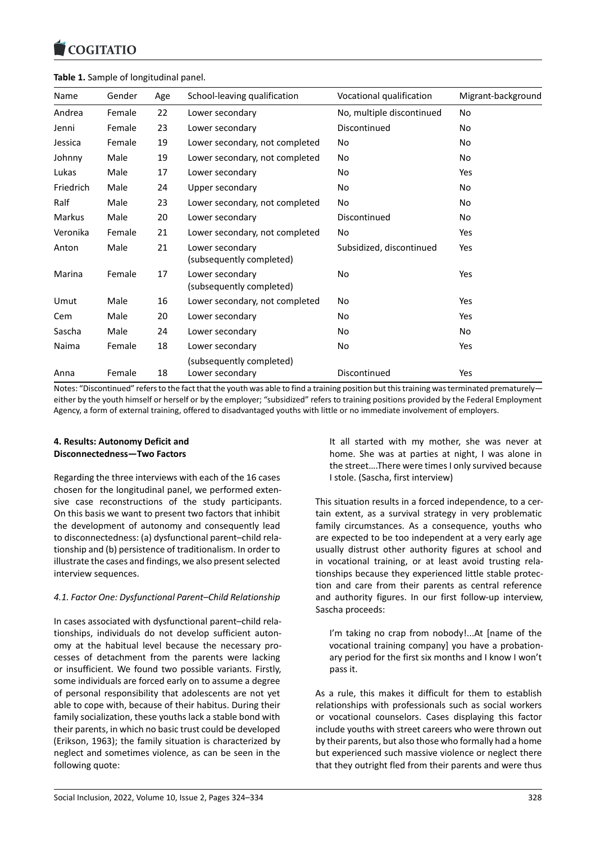#### COQUATIO

### **Table 1.** Sample of longitudinal panel.

| Name          | Gender | Age | School-leaving qualification                | Vocational qualification  | Migrant-background |
|---------------|--------|-----|---------------------------------------------|---------------------------|--------------------|
| Andrea        | Female | 22  | Lower secondary                             | No, multiple discontinued | No                 |
| Jenni         | Female | 23  | Lower secondary                             | Discontinued              | <b>No</b>          |
| Jessica       | Female | 19  | Lower secondary, not completed              | No                        | <b>No</b>          |
| Johnny        | Male   | 19  | Lower secondary, not completed              | <b>No</b>                 | <b>No</b>          |
| Lukas         | Male   | 17  | Lower secondary                             | No                        | Yes                |
| Friedrich     | Male   | 24  | Upper secondary                             | <b>No</b>                 | <b>No</b>          |
| Ralf          | Male   | 23  | Lower secondary, not completed              | No                        | No                 |
| <b>Markus</b> | Male   | 20  | Lower secondary                             | Discontinued              | No                 |
| Veronika      | Female | 21  | Lower secondary, not completed              | No                        | Yes                |
| Anton         | Male   | 21  | Lower secondary<br>(subsequently completed) | Subsidized, discontinued  | Yes                |
| Marina        | Female | 17  | Lower secondary<br>(subsequently completed) | No                        | Yes                |
| Umut          | Male   | 16  | Lower secondary, not completed              | No                        | Yes                |
| Cem           | Male   | 20  | Lower secondary                             | <b>No</b>                 | Yes                |
| Sascha        | Male   | 24  | Lower secondary                             | No                        | No                 |
| Naima         | Female | 18  | Lower secondary                             | <b>No</b>                 | Yes                |
|               |        |     | (subsequently completed)                    |                           |                    |
| Anna          | Female | 18  | Lower secondary                             | Discontinued              | Yes                |

Notes: "Discontinued" refers to the fact that the youth was able to find a training position but this training was terminated prematurely either by the youth himself or herself or by the employer; "subsidized" refers to training positions provided by the Federal Employment Agency, a form of external training, offered to disadvantaged youths with little or no immediate involvement of employers.

# **4. Results: Autonomy Deficit and Disconnectedness—Two Factors**

Regarding the three interviews with each of the 16 cases chosen for the longitudinal panel, we performed exten‐ sive case reconstructions of the study participants. On this basis we want to present two factors that inhibit the development of autonomy and consequently lead to disconnectedness: (a) dysfunctional parent–child rela‐ tionship and (b) persistence of traditionalism. In order to illustrate the cases and findings, we also present selected interview sequences.

# *4.1. Factor One: Dysfunctional Parent–Child Relationship*

In cases associated with dysfunctional parent–child rela‐ tionships, individuals do not develop sufficient auton‐ omy at the habitual level because the necessary pro‐ cesses of detachment from the parents were lacking or insufficient. We found two possible variants. Firstly, some individuals are forced early on to assume a degree of personal responsibility that adolescents are not yet able to cope with, because of their habitus. During their family socialization, these youths lack a stable bond with their parents, in which no basic trust could be developed (Erikson, 1963); the family situation is characterized by neglect and sometimes violence, as can be seen in the following quote:

It all started with my mother, she was never at home. She was at parties at night, I was alone in the street….There were times I only survived because I stole. (Sascha, first interview)

This situation results in a forced independence, to a cer‐ tain extent, as a survival strategy in very problematic family circumstances. As a consequence, youths who are expected to be too independent at a very early age usually distrust other authority figures at school and in vocational training, or at least avoid trusting rela‐ tionships because they experienced little stable protec‐ tion and care from their parents as central reference and authority figures. In our first follow‐up interview, Sascha proceeds:

I'm taking no crap from nobody!...At [name of the vocational training company] you have a probation‐ ary period for the first six months and I know I won't pass it.

As a rule, this makes it difficult for them to establish relationships with professionals such as social workers or vocational counselors. Cases displaying this factor include youths with street careers who were thrown out by their parents, but also those who formally had a home but experienced such massive violence or neglect there that they outright fled from their parents and were thus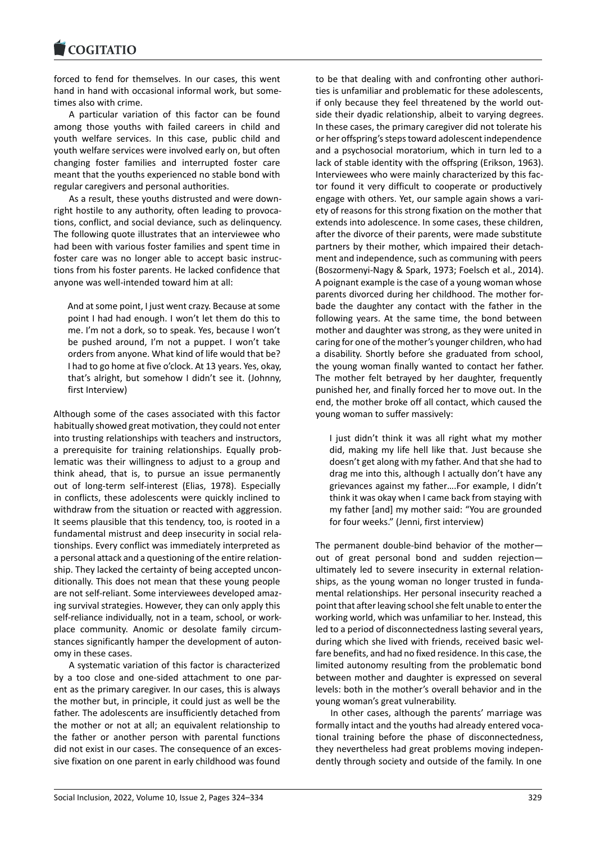#### **LOGITATIO**

forced to fend for themselves. In our cases, this went [hand in hand with o](https://www.cogitatiopress.com)ccasional informal work, but some‐ times also with crime.

A particular variation of this factor can be found among those youths with failed careers in child and youth welfare services. In this case, public child and youth welfare services were involved early on, but often changing foster families and interrupted foster care meant that the youths experienced no stable bond with regular caregivers and personal authorities.

As a result, these youths distrusted and were down‐ right hostile to any authority, often leading to provoca‐ tions, conflict, and social deviance, such as delinquency. The following quote illustrates that an interviewee who had been with various foster families and spent time in foster care was no longer able to accept basic instruc‐ tions from his foster parents. He lacked confidence that anyone was well‐intended toward him at all:

And at some point, I just went crazy. Because at some point I had had enough. I won't let them do this to me. I'm not a dork, so to speak. Yes, because I won't be pushed around, I'm not a puppet. I won't take orders from anyone. What kind of life would that be? I had to go home at five o'clock. At 13 years. Yes, okay, that's alright, but somehow I didn't see it. (Johnny, first Interview)

Although some of the cases associated with this factor habitually showed great motivation, they could not enter into trusting relationships with teachers and instructors, a prerequisite for training relationships. Equally prob‐ lematic was their willingness to adjust to a group and think ahead, that is, to pursue an issue permanently out of long‐term self‐interest (Elias, 1978). Especially in conflicts, these adolescents were quickly inclined to withdraw from the situation or reacted with aggression. It seems plausible that this tendency, too, is rooted in a fundamental mistrust and deep insecurity in social rela‐ tionships. Every conflict was immediately interpreted as a personal attack and a questioning of the entire relation‐ ship. They lacked the certainty of being accepted uncon‐ ditionally. This does not mean that these young people are not self‐reliant. Some interviewees developed amaz‐ ing survival strategies. However, they can only apply this self-reliance individually, not in a team, school, or workplace community. Anomic or desolate family circum‐ stances significantly hamper the development of auton‐ omy in these cases.

A systematic variation of this factor is characterized by a too close and one‐sided attachment to one par‐ ent as the primary caregiver. In our cases, this is always the mother but, in principle, it could just as well be the father. The adolescents are insufficiently detached from the mother or not at all; an equivalent relationship to the father or another person with parental functions did not exist in our cases. The consequence of an excessive fixation on one parent in early childhood was found

to be that dealing with and confronting other authori‐ ties is unfamiliar and problematic for these adolescents, if only because they feel threatened by the world out‐ side their dyadic relationship, albeit to varying degrees. In these cases, the primary caregiver did not tolerate his or her offspring's steps toward adolescent independence and a psychosocial moratorium, which in turn led to a lack of stable identity with the offspring (Erikson, 1963). Interviewees who were mainly characterized by this fac‐ tor found it very difficult to cooperate or productively engage with others. Yet, our sample again shows a vari‐ ety of reasons for this strong fixation on the mother that extends into adolescence. In some cases, these children, after the divorce of their parents, were made substitute partners by their mother, which impaired their detach‐ ment and independence, such as communing with peers (Boszormenyi‐Nagy & Spark, 1973; Foelsch et al., 2014). A poignant example is the case of a young woman whose parents divorced during her childhood. The mother for‐ bade the daughter any contact with the father in the following years. At the same time, the bond between mother and daughter was strong, as they were united in caring for one of the mother's younger children, who had a disability. Shortly before she graduated from school, the young woman finally wanted to contact her father. The mother felt betrayed by her daughter, frequently punished her, and finally forced her to move out. In the end, the mother broke off all contact, which caused the young woman to suffer massively:

I just didn't think it was all right what my mother did, making my life hell like that. Just because she doesn't get along with my father. And that she had to drag me into this, although I actually don't have any grievances against my father….For example, I didn't think it was okay when I came back from staying with my father [and] my mother said: "You are grounded for four weeks." (Jenni, first interview)

The permanent double‐bind behavior of the mother out of great personal bond and sudden rejection ultimately led to severe insecurity in external relation‐ ships, as the young woman no longer trusted in fundamental relationships. Her personal insecurity reached a point that after leaving school she felt unable to enter the working world, which was unfamiliar to her. Instead, this led to a period of disconnectedness lasting several years, during which she lived with friends, received basic wel‐ fare benefits, and had no fixed residence. In this case, the limited autonomy resulting from the problematic bond between mother and daughter is expressed on several levels: both in the mother's overall behavior and in the young woman's great vulnerability.

In other cases, although the parents' marriage was formally intact and the youths had already entered voca‐ tional training before the phase of disconnectedness, they nevertheless had great problems moving indepen‐ dently through society and outside of the family. In one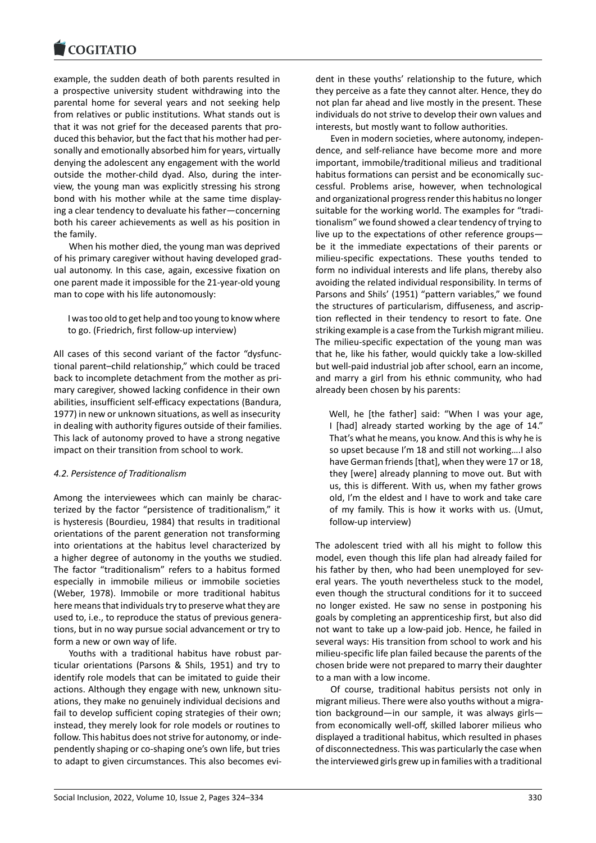#### COQUIATIO

example, the sudden death of both parents resulted in [a prospective univer](https://www.cogitatiopress.com)sity student withdrawing into the parental home for several years and not seeking help from relatives or public institutions. What stands out is that it was not grief for the deceased parents that pro‐ duced this behavior, but the fact that his mother had per‐ sonally and emotionally absorbed him for years, virtually denying the adolescent any engagement with the world outside the mother‐child dyad. Also, during the inter‐ view, the young man was explicitly stressing his strong bond with his mother while at the same time display‐ ing a clear tendency to devaluate his father—concerning both his career achievements as well as his position in the family.

When his mother died, the young man was deprived of his primary caregiver without having developed grad‐ ual autonomy. In this case, again, excessive fixation on one parent made it impossible for the 21‐year‐old young man to cope with his life autonomously:

I was too old to get help and too young to know where to go. (Friedrich, first follow‐up interview)

All cases of this second variant of the factor "dysfunc‐ tional parent–child relationship," which could be traced back to incomplete detachment from the mother as pri‐ mary caregiver, showed lacking confidence in their own abilities, insufficient self‐efficacy expectations (Bandura, 1977) in new or unknown situations, as well as insecurity in dealing with authority figures outside of their families. This lack of autonomy proved to have a strong negative impact on their transition from school to work.

# *4.2. Persistence of Traditionalism*

Among the interviewees which can mainly be charac‐ terized by the factor "persistence of traditionalism," it is hysteresis (Bourdieu, 1984) that results in traditional orientations of the parent generation not transforming into orientations at the habitus level characterized by a higher degree of autonomy in the youths we studied. The factor "traditionalism" refers to a habitus formed especially in immobile milieus or immobile societies (Weber, 1978). Immobile or more traditional habitus here means that individuals try to preserve what they are used to, i.e., to reproduce the status of previous genera‐ tions, but in no way pursue social advancement or try to form a new or own way of life.

Youths with a traditional habitus have robust par‐ ticular orientations (Parsons & Shils, 1951) and try to identify role models that can be imitated to guide their actions. Although they engage with new, unknown situ‐ ations, they make no genuinely individual decisions and fail to develop sufficient coping strategies of their own; instead, they merely look for role models or routines to follow. This habitus does not strive for autonomy, or inde‐ pendently shaping or co‐shaping one's own life, but tries to adapt to given circumstances. This also becomes evi‐ dent in these youths' relationship to the future, which they perceive as a fate they cannot alter. Hence, they do not plan far ahead and live mostly in the present. These individuals do not strive to develop their own values and interests, but mostly want to follow authorities.

Even in modern societies, where autonomy, indepen‐ dence, and self‐reliance have become more and more important, immobile/traditional milieus and traditional habitus formations can persist and be economically successful. Problems arise, however, when technological and organizational progress render this habitus no longer suitable for the working world. The examples for "tradi‐ tionalism" we found showed a clear tendency of trying to live up to the expectations of other reference groups be it the immediate expectations of their parents or milieu‐specific expectations. These youths tended to form no individual interests and life plans, thereby also avoiding the related individual responsibility. In terms of Parsons and Shils' (1951) "pattern variables," we found the structures of particularism, diffuseness, and ascrip‐ tion reflected in their tendency to resort to fate. One striking example is a case from the Turkish migrant milieu. The milieu-specific expectation of the young man was that he, like his father, would quickly take a low‐skilled but well‐paid industrial job after school, earn an income, and marry a girl from his ethnic community, who had already been chosen by his parents:

Well, he [the father] said: "When I was your age, I [had] already started working by the age of 14." That's what he means, you know. And this is why he is so upset because I'm 18 and still not working….I also have German friends [that], when they were 17 or 18, they [were] already planning to move out. But with us, this is different. With us, when my father grows old, I'm the eldest and I have to work and take care of my family. This is how it works with us. (Umut, follow‐up interview)

The adolescent tried with all his might to follow this model, even though this life plan had already failed for his father by then, who had been unemployed for several years. The youth nevertheless stuck to the model, even though the structural conditions for it to succeed no longer existed. He saw no sense in postponing his goals by completing an apprenticeship first, but also did not want to take up a low‐paid job. Hence, he failed in several ways: His transition from school to work and his milieu‐specific life plan failed because the parents of the chosen bride were not prepared to marry their daughter to a man with a low income.

Of course, traditional habitus persists not only in migrant milieus. There were also youths without a migra‐ tion background—in our sample, it was always girls from economically well‐off, skilled laborer milieus who displayed a traditional habitus, which resulted in phases of disconnectedness. This was particularly the case when the interviewed girls grew up in families with a traditional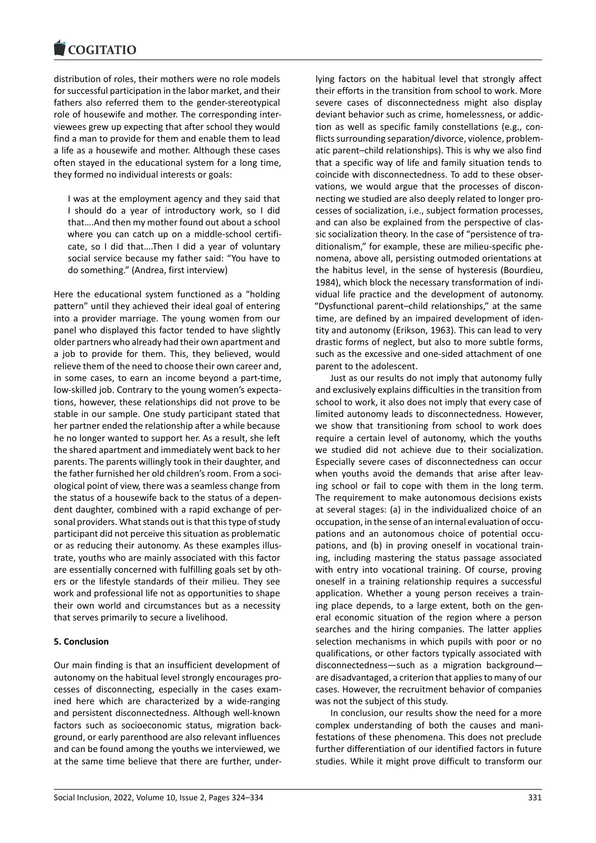#### **COMMITMENT**

distribution of roles, their mothers were no role models [for successful particip](https://www.cogitatiopress.com)ation in the labor market, and their fathers also referred them to the gender‐stereotypical role of housewife and mother. The corresponding inter‐ viewees grew up expecting that after school they would find a man to provide for them and enable them to lead a life as a housewife and mother. Although these cases often stayed in the educational system for a long time, they formed no individual interests or goals:

I was at the employment agency and they said that I should do a year of introductory work, so I did that….And then my mother found out about a school where you can catch up on a middle‐school certifi‐ cate, so I did that….Then I did a year of voluntary social service because my father said: "You have to do something." (Andrea, first interview)

Here the educational system functioned as a "holding pattern" until they achieved their ideal goal of entering into a provider marriage. The young women from our panel who displayed this factor tended to have slightly older partners who already had their own apartment and a job to provide for them. This, they believed, would relieve them of the need to choose their own career and, in some cases, to earn an income beyond a part‐time, low‐skilled job. Contrary to the young women's expecta‐ tions, however, these relationships did not prove to be stable in our sample. One study participant stated that her partner ended the relationship after a while because he no longer wanted to support her. As a result, she left the shared apartment and immediately went back to her parents. The parents willingly took in their daughter, and the father furnished her old children's room. From a soci‐ ological point of view, there was a seamless change from the status of a housewife back to the status of a depen‐ dent daughter, combined with a rapid exchange of per‐ sonal providers. What stands out is that this type of study participant did not perceive this situation as problematic or as reducing their autonomy. As these examples illus‐ trate, youths who are mainly associated with this factor are essentially concerned with fulfilling goals set by oth‐ ers or the lifestyle standards of their milieu. They see work and professional life not as opportunities to shape their own world and circumstances but as a necessity that serves primarily to secure a livelihood.

# **5. Conclusion**

Our main finding is that an insufficient development of autonomy on the habitual level strongly encourages pro‐ cesses of disconnecting, especially in the cases exam‐ ined here which are characterized by a wide-ranging and persistent disconnectedness. Although well‐known factors such as socioeconomic status, migration back‐ ground, or early parenthood are also relevant influences and can be found among the youths we interviewed, we at the same time believe that there are further, under‐ lying factors on the habitual level that strongly affect their efforts in the transition from school to work. More severe cases of disconnectedness might also display deviant behavior such as crime, homelessness, or addic‐ tion as well as specific family constellations (e.g., con‐ flicts surrounding separation/divorce, violence, problem‐ atic parent–child relationships). This is why we also find that a specific way of life and family situation tends to coincide with disconnectedness. To add to these obser‐ vations, we would argue that the processes of discon‐ necting we studied are also deeply related to longer pro‐ cesses of socialization, i.e., subject formation processes, and can also be explained from the perspective of classic socialization theory. In the case of "persistence of tra‐ ditionalism," for example, these are milieu‐specific phe‐ nomena, above all, persisting outmoded orientations at the habitus level, in the sense of hysteresis (Bourdieu, 1984), which block the necessary transformation of indi‐ vidual life practice and the development of autonomy. "Dysfunctional parent–child relationships," at the same time, are defined by an impaired development of iden‐ tity and autonomy (Erikson, 1963). This can lead to very drastic forms of neglect, but also to more subtle forms, such as the excessive and one‐sided attachment of one parent to the adolescent.

Just as our results do not imply that autonomy fully and exclusively explains difficulties in the transition from school to work, it also does not imply that every case of limited autonomy leads to disconnectedness. However, we show that transitioning from school to work does require a certain level of autonomy, which the youths we studied did not achieve due to their socialization. Especially severe cases of disconnectedness can occur when youths avoid the demands that arise after leaving school or fail to cope with them in the long term. The requirement to make autonomous decisions exists at several stages: (a) in the individualized choice of an occupation, in the sense of an internal evaluation of occu‐ pations and an autonomous choice of potential occupations, and (b) in proving oneself in vocational train‐ ing, including mastering the status passage associated with entry into vocational training. Of course, proving oneself in a training relationship requires a successful application. Whether a young person receives a train‐ ing place depends, to a large extent, both on the gen‐ eral economic situation of the region where a person searches and the hiring companies. The latter applies selection mechanisms in which pupils with poor or no qualifications, or other factors typically associated with disconnectedness—such as a migration background are disadvantaged, a criterion that applies to many of our cases. However, the recruitment behavior of companies was not the subject of this study.

In conclusion, our results show the need for a more complex understanding of both the causes and mani‐ festations of these phenomena. This does not preclude further differentiation of our identified factors in future studies. While it might prove difficult to transform our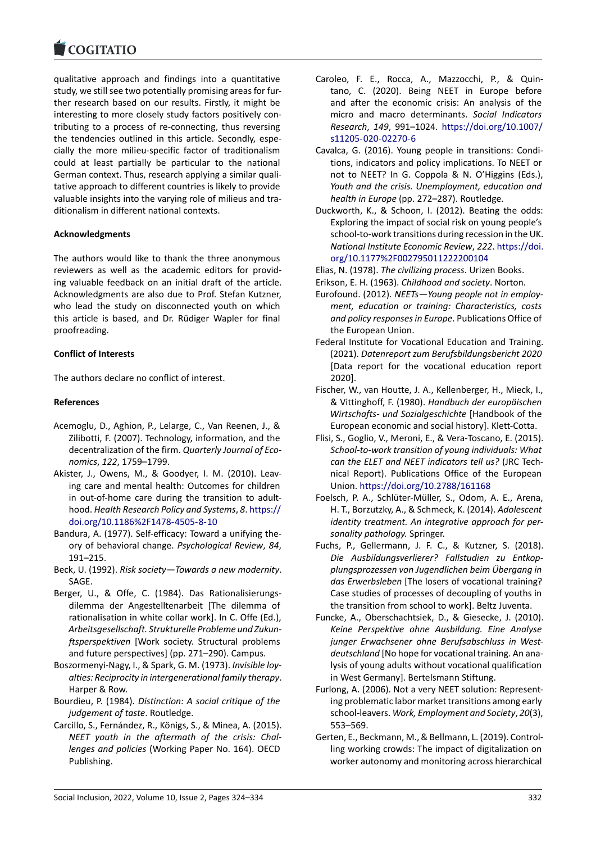#### **LOGITATIO**

qualitative approach and findings into a quantitative [study, we still see two](https://www.cogitatiopress.com) potentially promising areas for fur‐ ther research based on our results. Firstly, it might be interesting to more closely study factors positively con‐ tributing to a process of re‐connecting, thus reversing the tendencies outlined in this article. Secondly, espe‐ cially the more milieu‐specific factor of traditionalism could at least partially be particular to the national German context. Thus, research applying a similar quali‐ tative approach to different countries is likely to provide valuable insights into the varying role of milieus and tra‐ ditionalism in different national contexts.

# **Acknowledgments**

The authors would like to thank the three anonymous reviewers as well as the academic editors for provid‐ ing valuable feedback on an initial draft of the article. Acknowledgments are also due to Prof. Stefan Kutzner, who lead the study on disconnected youth on which this article is based, and Dr. Rüdiger Wapler for final proofreading.

# **Conflict of Interests**

The authors declare no conflict of interest.

# **References**

- Acemoglu, D., Aghion, P., Lelarge, C., Van Reenen, J., & Zilibotti, F. (2007). Technology, information, and the decentralization of the firm. *Quarterly Journal of Eco‐ nomics*, *122*, 1759–1799.
- Akister, J., Owens, M., & Goodyer, I. M. (2010). Leaving care and mental health: Outcomes for children in out-of-home care during the transition to adulthood. *Health Research Policy and Systems*, *8*. https:// doi.org/10.1186%2F1478‐4505‐8‐10
- Bandura, A. (1977). Self‐efficacy: Toward a unifying the‐ ory of behavioral change. *Psychological Review*, *84*, 191–215.
- Beck, U. (1992). *[Risk society—Towards a](https://doi.org/10.1186%2F1478-4505-8-10) new m[odernity](https://doi.org/10.1186%2F1478-4505-8-10)*. SAGE.
- Berger, U., & Offe, C. (1984). Das Rationalisierungs‐ dilemma der Angestelltenarbeit [The dilemma of rationalisation in white collar work]. In C. Offe (Ed.), *Arbeitsgesellschaft. Strukturelle Probleme und Zukun‐ ftsperspektiven* [Work society. Structural problems and future perspectives] (pp. 271–290). Campus.
- Boszormenyi‐Nagy, I., & Spark, G. M. (1973). *Invisible loy‐ alties: Reciprocity in intergenerational family therapy*. Harper & Row.
- Bourdieu, P. (1984). *Distinction: A social critique of the judgement of taste*. Routledge.
- Carcillo, S., Fernández, R., Königs, S., & Minea, A. (2015). *NEET youth in the aftermath of the crisis: Chal‐ lenges and policies* (Working Paper No. 164). OECD Publishing.
- Caroleo, F. E., Rocca, A., Mazzocchi, P., & Quin‐ tano, C. (2020). Being NEET in Europe before and after the economic crisis: An analysis of the micro and macro determinants. *Social Indicators Research*, *149*, 991–1024. https://doi.org/10.1007/ s11205‐020‐02270‐6
- Cavalca, G. (2016). Young people in transitions: Condi‐ tions, indicators and policy implications. To NEET or not to NEET? In G. Coppo[la & N. O'Higgins \(Eds.\),](https://doi.org/10.1007/s11205-020-02270-6) *[Youth and the crisis. U](https://doi.org/10.1007/s11205-020-02270-6)nemployment, education and health in Europe* (pp. 272–287). Routledge.
- Duckworth, K., & Schoon, I. (2012). Beating the odds: Exploring the impact of social risk on young people's school-to-work transitions during recession in the UK. *National Institute Economic Review*, *222*. https://doi. org/10.1177%2F002795011222200104
- Elias, N. (1978). *The civilizing process*. Urizen Books. Erikson, E. H. (1963). *Childhood and society*. Norton.
- Eurofound. (2012). *NEETs—Young people no[t in employ‐](https://doi.org/10.1177%2F002795011222200104) [ment, education or training: Characte](https://doi.org/10.1177%2F002795011222200104)ristics, costs and policy responses in Europe*. Publications Office of the European Union.
- Federal Institute for Vocational Education and Training. (2021). *Datenreport zum Berufsbildungsbericht 2020* [Data report for the vocational education report 2020].
- Fischer, W., van Houtte, J. A., Kellenberger, H., Mieck, I., & Vittinghoff, F. (1980). *Handbuch der europäischen Wirtschafts‐ und Sozialgeschichte* [Handbook of the European economic and social history]. Klett‐Cotta.
- Flisi, S., Goglio, V., Meroni, E., & Vera‐Toscano, E. (2015). *School‐to‐work transition of young individuals: What can the ELET and NEET indicators tell us?* (JRC Tech‐ nical Report). Publications Office of the European Union. https://doi.org/10.2788/161168
- Foelsch, P. A., Schlüter‐Müller, S., Odom, A. E., Arena, H. T., Borzutzky, A., & Schmeck, K. (2014). *Adolescent identity treatment. An integrative approach for per‐ sonalit[y pathology.](https://doi.org/10.2788/161168)* Springer.
- Fuchs, P., Gellermann, J. F. C., & Kutzner, S. (2018). *Die Ausbildungsverlierer? Fallstudien zu Entkop‐ plungsprozessen von Jugendlichen beim Übergang in das Erwerbsleben* [The losers of vocational training? Case studies of processes of decoupling of youths in the transition from school to work]. Beltz Juventa.
- Funcke, A., Oberschachtsiek, D., & Giesecke, J. (2010). *Keine Perspektive ohne Ausbildung. Eine Analyse junger Erwachsener ohne Berufsabschluss in West‐ deutschland* [No hope for vocational training. An ana‐ lysis of young adults without vocational qualification in West Germany]. Bertelsmann Stiftung.
- Furlong, A. (2006). Not a very NEET solution: Represent‐ ing problematic labor market transitions among early school‐leavers. *Work, Employment and Society*, *20*(3), 553–569.
- Gerten, E., Beckmann, M., & Bellmann, L. (2019). Control‐ ling working crowds: The impact of digitalization on worker autonomy and monitoring across hierarchical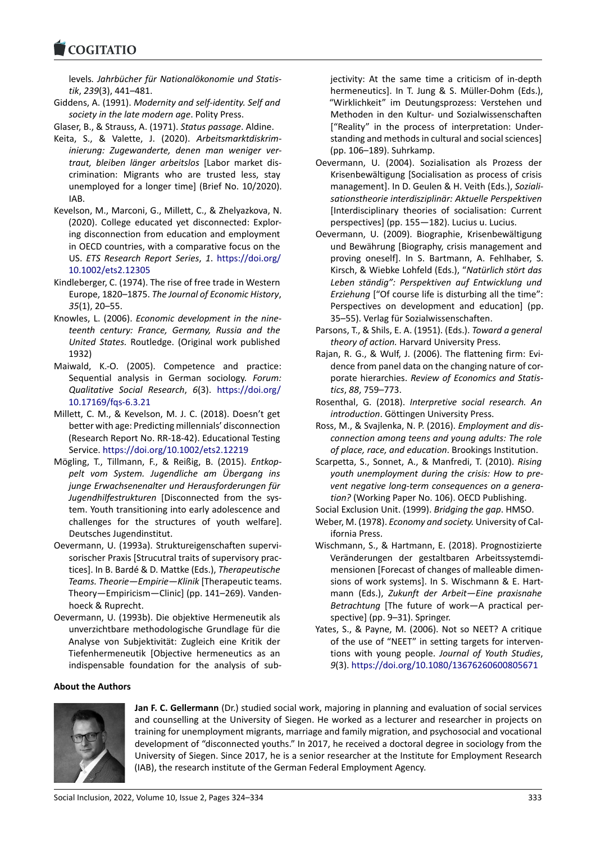#### COQUATIO

levels*. Jahrbücher für Nationalökonomie und Statis‐ tik*, *239*(3), 441–481.

- [Giddens, A. \(1991\).](https://www.cogitatiopress.com) *Modernity and self‐identity. Self and society in the late modern age*. Polity Press.
- Glaser, B., & Strauss, A. (1971). *Status passage*. Aldine.
- Keita, S., & Valette, J. (2020). *Arbeitsmarktdiskrim‐ inierung: Zugewanderte, denen man weniger ver‐ traut, bleiben länger arbeitslos* [Labor market dis‐ crimination: Migrants who are trusted less, stay unemployed for a longer time] (Brief No. 10/2020). IAB.
- Kevelson, M., Marconi, G., Millett, C., & Zhelyazkova, N. (2020). College educated yet disconnected: Explor‐ ing disconnection from education and employment in OECD countries, with a comparative focus on the US. *ETS Research Report Series*, *1*. https://doi.org/ 10.1002/ets2.12305
- Kindleberger, C. (1974). The rise of free trade in Western Europe, 1820–1875. *The Journal of Economic History*, *35*(1), 20–55.
- Kn[owles, L. \(2006\).](https://doi.org/10.1002/ets2.12305) *Economic develop[ment in the nine‐](https://doi.org/10.1002/ets2.12305) teenth century: France, Germany, Russia and the United States.* Routledge. (Original work published 1932)
- Maiwald, K.‐O. (2005). Competence and practice: Sequential analysis in German sociology. *Forum: Qualitative Social Research*, *6*(3). https://doi.org/ 10.17169/fqs‐6.3.21
- Millett, C. M., & Kevelson, M. J. C. (2018). Doesn't get better with age: Predicting millennials' disconnection (Research Report No. RR‐18‐42). Ed[ucational Testing](https://doi.org/10.17169/fqs-6.3.21) Service. [https://doi.o](https://doi.org/10.17169/fqs-6.3.21)rg/10.1002/ets2.12219
- Mögling, T., Tillmann, F., & Reißig, B. (2015). *Entkop‐ pelt vom System. Jugendliche am Übergang ins junge Erwachsenenalter und Herausforderungen für Jugendhilfestrukturen* [\[Disconnected from](https://doi.org/10.1002/ets2.12219) the sys‐ tem. Youth transitioning into early adolescence and challenges for the structures of youth welfare]. Deutsches Jugendinstitut.
- Oevermann, U. (1993a). Struktureigenschaften supervi‐ sorischer Praxis [Strucutral traits of supervisory prac‐ tices]. In B. Bardé & D. Mattke (Eds.), *Therapeutische Teams. Theorie—Empirie—Klinik* [Therapeutic teams. Theory—Empiricism—Clinic] (pp. 141–269). Vanden‐ hoeck & Ruprecht.
- Oevermann, U. (1993b). Die objektive Hermeneutik als unverzichtbare methodologische Grundlage für die Analyse von Subjektivität: Zugleich eine Kritik der Tiefenhermeneutik [Objective hermeneutics as an indispensable foundation for the analysis of sub‐

### **About the Authors**



**Jan F. C. Gellermann** (Dr.) studied social work, majoring in planning and evaluation of social services and counselling at the University of Siegen. He wor[ked as a lecturer and researcher in projects on](https://doi.org/10.1080/13676260600805671) training for unemployment migrants, marriage and family migration, and psychosocial and vocational development of "disconnected youths." In 2017, he received a doctoral degree in sociology from the University of Siegen. Since 2017, he is a senior researcher at the Institute for Employment Research (IAB), the research institute of the German Federal Employment Agency.

jectivity: At the same time a criticism of in‐depth hermeneutics]. In T. Jung & S. Müller-Dohm (Eds.), "Wirklichkeit" im Deutungsprozess: Verstehen und Methoden in den Kultur‐ und Sozialwissenschaften ["Reality" in the process of interpretation: Under‐ standing and methods in cultural and social sciences] (pp. 106–189). Suhrkamp.

- Oevermann, U. (2004). Sozialisation als Prozess der Krisenbewältigung [Socialisation as process of crisis management]. In D. Geulen & H. Veith (Eds.), *Soziali‐ sationstheorie interdisziplinär: Aktuelle Perspektiven* [Interdisciplinary theories of socialisation: Current perspectives] (pp. 155—182). Lucius u. Lucius.
- Oevermann, U. (2009). Biographie, Krisenbewältigung und Bewährung [Biography, crisis management and proving oneself]. In S. Bartmann, A. Fehlhaber, S. Kirsch, & Wiebke Lohfeld (Eds.), "*Natürlich stört das Leben ständig": Perspektiven auf Entwicklung und Erziehung* ["Of course life is disturbing all the time": Perspectives on development and education] (pp. 35–55). Verlag für Sozialwissenschaften.
- Parsons, T., & Shils, E. A. (1951). (Eds.). *Toward a general theory of action.* Harvard University Press.
- Rajan, R. G., & Wulf, J. (2006). The flattening firm: Evi‐ dence from panel data on the changing nature of cor‐ porate hierarchies. *Review of Economics and Statis‐ tics*, *88*, 759–773.
- Rosenthal, G. (2018). *Interpretive social research. An introduction*. Göttingen University Press.
- Ross, M., & Svajlenka, N. P. (2016). *Employment and dis‐ connection among teens and young adults: The role of place, race, and education*. Brookings Institution.
- Scarpetta, S., Sonnet, A., & Manfredi, T. (2010). *Rising youth unemployment during the crisis: How to pre‐ vent negative long‐term consequences on a genera‐ tion?* (Working Paper No. 106). OECD Publishing.
- Social Exclusion Unit. (1999). *Bridging the gap*. HMSO.
- Weber, M. (1978). *Economy and society.* University of Cal‐ ifornia Press.
- Wischmann, S., & Hartmann, E. (2018). Prognostizierte Veränderungen der gestaltbaren Arbeitssystemdi‐ mensionen [Forecast of changes of malleable dimen‐ sions of work systems]. In S. Wischmann & E. Hart‐ mann (Eds.), *Zukunft der Arbeit—Eine praxisnahe Betrachtung* [The future of work—A practical per‐ spective] (pp. 9–31). Springer.
- Yates, S., & Payne, M. (2006). Not so NEET? A critique of the use of "NEET" in setting targets for interven‐ tions with young people. *Journal of Youth Studies*, *9*(3). https://doi.org/10.1080/13676260600805671